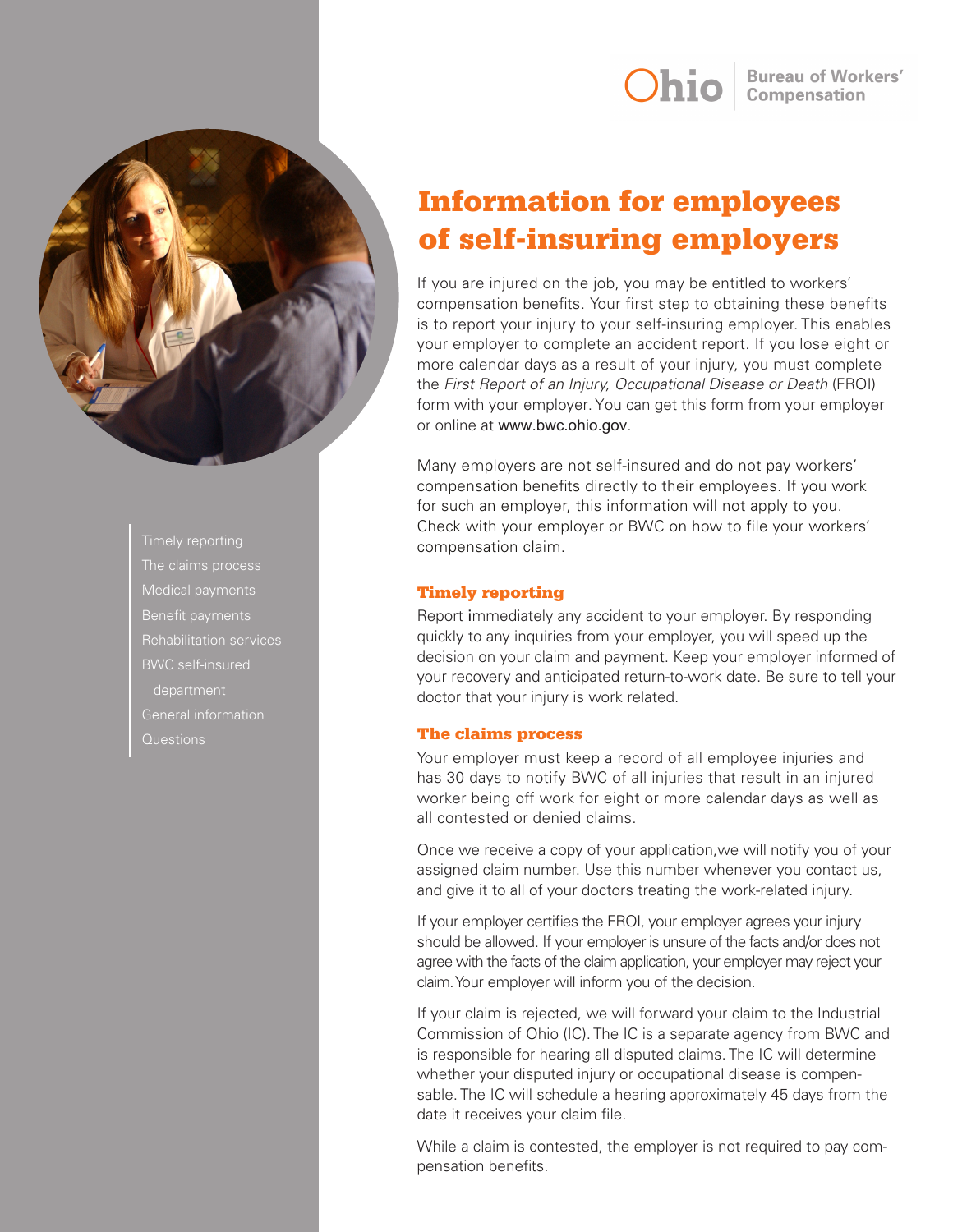

Benefit payments BWC self-insured department General information Questions

# Information for employees of self-insuring employers

If you are injured on the job, you may be entitled to workers' compensation benefits. Your first step to obtaining these benefits is to report your injury to your self-insuring employer.This enables your employer to complete an accident report. If you lose eight or more calendar days as a result of your injury, you must complete the *First Report of an Injury, Occupational Disease or Death* (FROI) form with your employer. You can get this form from your employer or online at www.bwc.ohio.gov.

Many employers are not self-insured and do not pay workers' compensation benefits directly to their employees. If you work for such an employer, this information will not apply to you. Check with your employer or BWC on how to file your workers' compensation claim.

# Timely reporting

Report immediately any accident to your employer. By responding quickly to any inquiries from your employer, you will speed up the decision on your claim and payment. Keep your employer informed of your recovery and anticipated return-to-work date. Be sure to tell your doctor that your injury is work related.

# The claims process

Your employer must keep a record of all employee injuries and has 30 days to notify BWC of all injuries that result in an injured worker being off work for eight or more calendar days as well as all contested or denied claims.

Once we receive a copy of your application,we will notify you of your assigned claim number. Use this number whenever you contact us, and give it to all of your doctors treating the work-related injury.

If your employer certifies the FROI, your employer agrees your injury should be allowed. If your employer is unsure of the facts and/or does not agree with the facts of the claim application, your employer may reject your claim. Your employer will inform you of the decision.

If your claim is rejected, we will forward your claim to the Industrial Commission of Ohio (IC). The IC is a separate agency from BWC and is responsible for hearing all disputed claims. The IC will determine whether your disputed injury or occupational disease is compensable. The IC will schedule a hearing approximately 45 days from the date it receives your claim file.

While a claim is contested, the employer is not required to pay compensation benefits.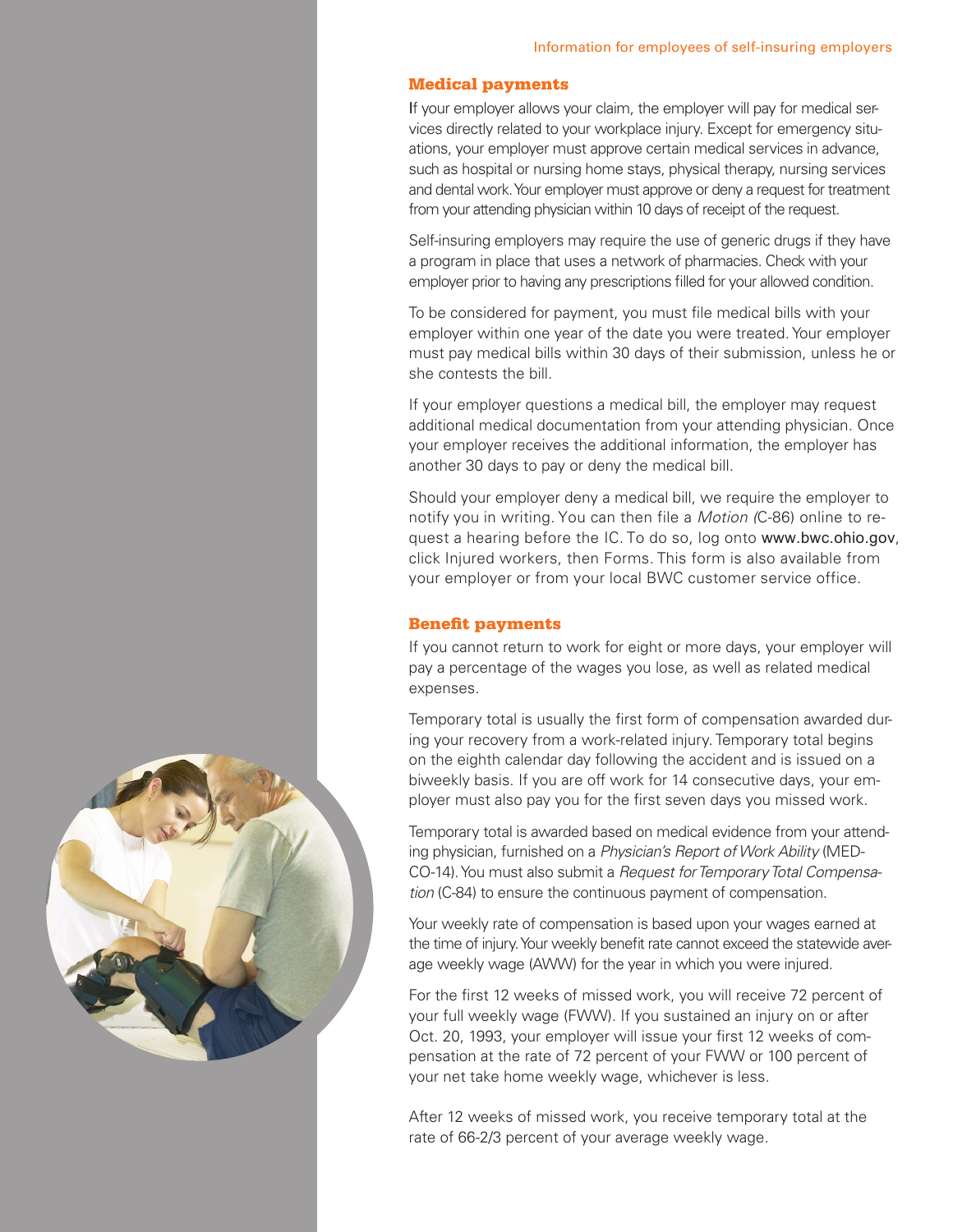### Medical payments

If your employer allows your claim, the employer will pay for medical services directly related to your workplace injury. Except for emergency situations, your employer must approve certain medical services in advance, such as hospital or nursing home stays, physical therapy, nursing services and dental work. Your employer must approve or deny a request for treatment from your attending physician within 10 days of receipt of the request.

Self-insuring employers may require the use of generic drugs if they have a program in place that uses a network of pharmacies. Check with your employer prior to having any prescriptions filled for your allowed condition.

To be considered for payment, you must file medical bills with your employer within one year of the date you were treated. Your employer must pay medical bills within 30 days of their submission, unless he or she contests the bill.

If your employer questions a medical bill, the employer may request additional medical documentation from your attending physician. Once your employer receives the additional information, the employer has another 30 days to pay or deny the medical bill.

Should your employer deny a medical bill, we require the employer to notify you in writing. You can then file a *Motion (*C-86) online to request a hearing before the IC.To do so, log onto www.bwc.ohio.gov, click Injured workers, then Forms. This form is also available from your employer or from your local BWC customer service office.

#### Benefit payments

If you cannot return to work for eight or more days, your employer will pay a percentage of the wages you lose, as well as related medical expenses.

Temporary total is usually the first form of compensation awarded during your recovery from a work-related injury. Temporary total begins on the eighth calendar day following the accident and is issued on a biweekly basis. If you are off work for 14 consecutive days, your employer must also pay you for the first seven days you missed work.

Temporary total is awarded based on medical evidence from your attending physician, furnished on a *Physician's Report of Work Ability* (MED-CO-14). You must also submit a *Request for Temporary Total Compensation* (C-84) to ensure the continuous payment of compensation.

Your weekly rate of compensation is based upon your wages earned at the time of injury. Your weekly benefit rate cannot exceed the statewide average weekly wage (AWW) for the year in which you were injured.

For the first 12 weeks of missed work, you will receive 72 percent of your full weekly wage (FWW). If you sustained an injury on or after Oct. 20, 1993, your employer will issue your first 12 weeks of compensation at the rate of 72 percent of your FWW or 100 percent of your net take home weekly wage, whichever is less.

After 12 weeks of missed work, you receive temporary total at the rate of 66-2/3 percent of your average weekly wage.